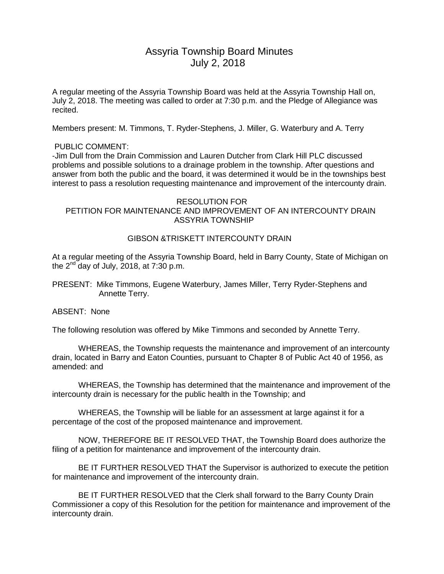# Assyria Township Board Minutes July 2, 2018

A regular meeting of the Assyria Township Board was held at the Assyria Township Hall on, July 2, 2018. The meeting was called to order at 7:30 p.m. and the Pledge of Allegiance was recited.

Members present: M. Timmons, T. Ryder-Stephens, J. Miller, G. Waterbury and A. Terry

### PUBLIC COMMENT:

-Jim Dull from the Drain Commission and Lauren Dutcher from Clark Hill PLC discussed problems and possible solutions to a drainage problem in the township. After questions and answer from both the public and the board, it was determined it would be in the townships best interest to pass a resolution requesting maintenance and improvement of the intercounty drain.

#### RESOLUTION FOR PETITION FOR MAINTENANCE AND IMPROVEMENT OF AN INTERCOUNTY DRAIN ASSYRIA TOWNSHIP

## GIBSON &TRISKETT INTERCOUNTY DRAIN

At a regular meeting of the Assyria Township Board, held in Barry County, State of Michigan on the  $2^{nd}$  day of July, 2018, at 7:30 p.m.

PRESENT: Mike Timmons, Eugene Waterbury, James Miller, Terry Ryder-Stephens and Annette Terry.

ABSENT: None

The following resolution was offered by Mike Timmons and seconded by Annette Terry.

WHEREAS, the Township requests the maintenance and improvement of an intercounty drain, located in Barry and Eaton Counties, pursuant to Chapter 8 of Public Act 40 of 1956, as amended: and

WHEREAS, the Township has determined that the maintenance and improvement of the intercounty drain is necessary for the public health in the Township; and

WHEREAS, the Township will be liable for an assessment at large against it for a percentage of the cost of the proposed maintenance and improvement.

NOW, THEREFORE BE IT RESOLVED THAT, the Township Board does authorize the filing of a petition for maintenance and improvement of the intercounty drain.

BE IT FURTHER RESOLVED THAT the Supervisor is authorized to execute the petition for maintenance and improvement of the intercounty drain.

BE IT FURTHER RESOLVED that the Clerk shall forward to the Barry County Drain Commissioner a copy of this Resolution for the petition for maintenance and improvement of the intercounty drain.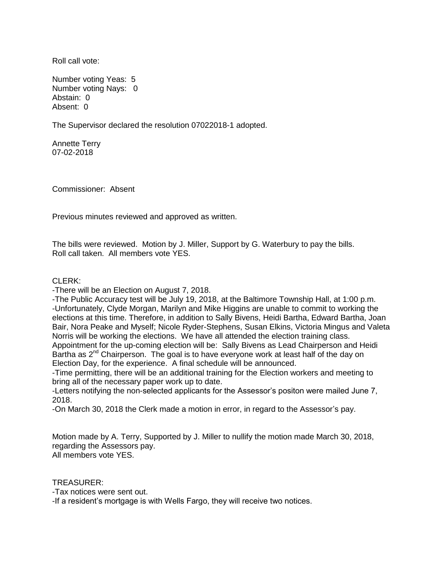Roll call vote:

Number voting Yeas: 5 Number voting Nays: 0 Abstain: 0 Absent: 0

The Supervisor declared the resolution 07022018-1 adopted.

Annette Terry 07-02-2018

Commissioner: Absent

Previous minutes reviewed and approved as written.

The bills were reviewed. Motion by J. Miller, Support by G. Waterbury to pay the bills. Roll call taken. All members vote YES.

#### CLERK:

-There will be an Election on August 7, 2018.

-The Public Accuracy test will be July 19, 2018, at the Baltimore Township Hall, at 1:00 p.m. -Unfortunately, Clyde Morgan, Marilyn and Mike Higgins are unable to commit to working the elections at this time. Therefore, in addition to Sally Bivens, Heidi Bartha, Edward Bartha, Joan Bair, Nora Peake and Myself; Nicole Ryder-Stephens, Susan Elkins, Victoria Mingus and Valeta Norris will be working the elections. We have all attended the election training class. Appointment for the up-coming election will be: Sally Bivens as Lead Chairperson and Heidi Bartha as 2<sup>nd</sup> Chairperson. The goal is to have everyone work at least half of the day on

Election Day, for the experience. A final schedule will be announced.

-Time permitting, there will be an additional training for the Election workers and meeting to bring all of the necessary paper work up to date.

-Letters notifying the non-selected applicants for the Assessor's positon were mailed June 7, 2018.

-On March 30, 2018 the Clerk made a motion in error, in regard to the Assessor's pay.

Motion made by A. Terry, Supported by J. Miller to nullify the motion made March 30, 2018, regarding the Assessors pay. All members vote YES.

TREASURER:

-Tax notices were sent out.

-If a resident's mortgage is with Wells Fargo, they will receive two notices.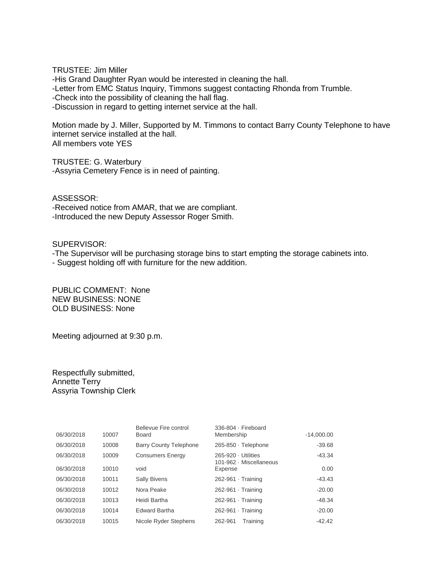TRUSTEE: Jim Miller -His Grand Daughter Ryan would be interested in cleaning the hall. -Letter from EMC Status Inquiry, Timmons suggest contacting Rhonda from Trumble. -Check into the possibility of cleaning the hall flag. -Discussion in regard to getting internet service at the hall.

Motion made by J. Miller, Supported by M. Timmons to contact Barry County Telephone to have internet service installed at the hall. All members vote YES

TRUSTEE: G. Waterbury -Assyria Cemetery Fence is in need of painting.

ASSESSOR: -Received notice from AMAR, that we are compliant. -Introduced the new Deputy Assessor Roger Smith.

SUPERVISOR:

-The Supervisor will be purchasing storage bins to start empting the storage cabinets into.

- Suggest holding off with furniture for the new addition.

PUBLIC COMMENT: None NEW BUSINESS: NONE OLD BUSINESS: None

Meeting adjourned at 9:30 p.m.

Respectfully submitted, Annette Terry Assyria Township Clerk

|            |       | Bellevue Fire control         | 336-804 · Fireboard                            |              |
|------------|-------|-------------------------------|------------------------------------------------|--------------|
| 06/30/2018 | 10007 | Board                         | Membership                                     | $-14,000.00$ |
| 06/30/2018 | 10008 | <b>Barry County Telephone</b> | 265-850 · Telephone                            | $-39.68$     |
| 06/30/2018 | 10009 | <b>Consumers Energy</b>       | 265-920 · Utilities<br>101-962 · Miscellaneous | $-43.34$     |
| 06/30/2018 | 10010 | void                          | Expense                                        | 0.00         |
| 06/30/2018 | 10011 | <b>Sally Bivens</b>           | $262-961$ Training                             | -43.43       |
| 06/30/2018 | 10012 | Nora Peake                    | $262-961$ Training                             | $-20.00$     |
| 06/30/2018 | 10013 | Heidi Bartha                  | $262-961$ Training                             | $-48.34$     |
| 06/30/2018 | 10014 | <b>Edward Bartha</b>          | 262-961 · Training                             | $-20.00$     |
| 06/30/2018 | 10015 | Nicole Ryder Stephens         | Training<br>262-961                            | $-42.42$     |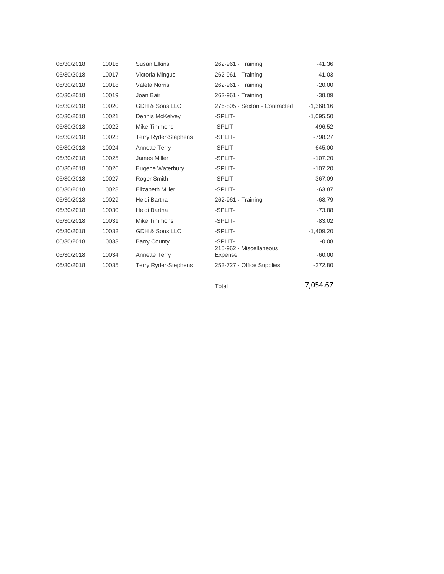| 06/30/2018 | 10016 | <b>Susan Elkins</b>         | 262-961 Training                   | -41.36      |
|------------|-------|-----------------------------|------------------------------------|-------------|
| 06/30/2018 | 10017 | Victoria Mingus             | 262-961 · Training                 | $-41.03$    |
| 06/30/2018 | 10018 | <b>Valeta Norris</b>        | $262-961$ Training                 | $-20.00$    |
| 06/30/2018 | 10019 | Joan Bair                   | 262-961 · Training                 | $-38.09$    |
| 06/30/2018 | 10020 | GDH & Sons LLC              | 276-805 · Sexton - Contracted      | $-1,368.16$ |
| 06/30/2018 | 10021 | Dennis McKelvey             | -SPLIT-                            | $-1,095.50$ |
| 06/30/2018 | 10022 | Mike Timmons                | -SPLIT-                            | $-496.52$   |
| 06/30/2018 | 10023 | <b>Terry Ryder-Stephens</b> | -SPLIT-                            | $-798.27$   |
| 06/30/2018 | 10024 | <b>Annette Terry</b>        | -SPLIT-                            | $-645.00$   |
| 06/30/2018 | 10025 | James Miller                | -SPLIT-                            | $-107.20$   |
| 06/30/2018 | 10026 | Eugene Waterbury            | -SPLIT-                            | $-107.20$   |
| 06/30/2018 | 10027 | Roger Smith                 | -SPLIT-                            | $-367.09$   |
| 06/30/2018 | 10028 | <b>Elizabeth Miller</b>     | -SPLIT-                            | $-63.87$    |
| 06/30/2018 | 10029 | Heidi Bartha                | $262-961$ Training                 | $-68.79$    |
| 06/30/2018 | 10030 | Heidi Bartha                | -SPLIT-                            | $-73.88$    |
| 06/30/2018 | 10031 | Mike Timmons                | -SPLIT-                            | $-83.02$    |
| 06/30/2018 | 10032 | GDH & Sons LLC              | -SPLIT-                            | $-1,409.20$ |
| 06/30/2018 | 10033 | <b>Barry County</b>         | -SPLIT-                            | $-0.08$     |
| 06/30/2018 | 10034 | Annette Terry               | 215-962 · Miscellaneous<br>Expense | $-60.00$    |
| 06/30/2018 | 10035 | <b>Terry Ryder-Stephens</b> | 253-727 Office Supplies            | $-272.80$   |
|            |       |                             | Total                              | 7,054.67    |